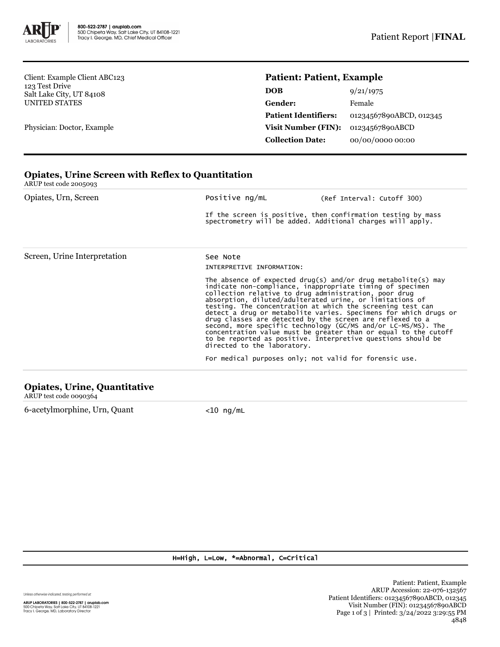

Client: Example Client ABC123 123 Test Drive Salt Lake City, UT 84108 UNITED STATES

Physician: Doctor, Example

## **Patient: Patient, Example**

| <b>DOB</b>                  | 9/21/1975               |
|-----------------------------|-------------------------|
| Gender:                     | Female                  |
| <b>Patient Identifiers:</b> | 01234567890ABCD, 012345 |
| <b>Visit Number (FIN):</b>  | 01234567890ABCD         |
| <b>Collection Date:</b>     | 00/00/0000 00:00        |

## **Opiates, Urine Screen with Reflex to Quantitation** ARUP test code 2005093 Opiates, Urn, Screen Positive ng/mL (Ref Interval: Cutoff 300) If the screen is positive, then confirmation testing by mass spectrometry will be added. Additional charges will apply. Screen, Urine Interpretation See Note INTERPRETIVE INFORMATION: The absence of expected drug(s) and/or drug metabolite(s) may indicate non-compliance, inappropriate timing of specimen collection relative to drug administration, poor drug absorption, diluted/adulterated urine, or limitations of testing. The concentration at which the screening test can detect a drug or metabolite varies. Specimens for which drugs or drug classes are detected by the screen are reflexed to a<br>second, more specific technology (GC/MS and/or LC-MS/MS). The<br>concentration value must be greater than or equal to the cutoff<br>to be reported as positive. Interpreti directed to the laboratory. For medical purposes only; not valid for forensic use. **Opiates, Urine, Quantitative**

ARUP test code 0090364

6-acetylmorphine, Urn, Quant <10 ng/mL

## H=High, L=Low, \*=Abnormal, C=Critical

Unless otherwise indicated, testing performed at: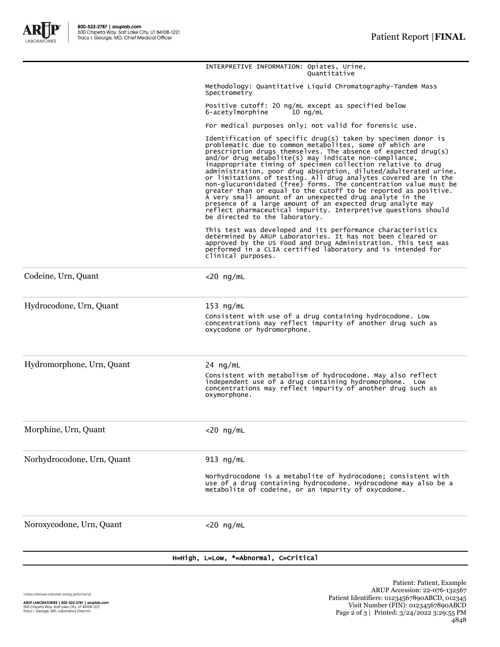

|                            | H=High, L=Low, *=Abnormal, C=Critical                                                                                                                                                                                                                                                                                                                                                                                                                                                                                                                                                                                                                                                                                      |
|----------------------------|----------------------------------------------------------------------------------------------------------------------------------------------------------------------------------------------------------------------------------------------------------------------------------------------------------------------------------------------------------------------------------------------------------------------------------------------------------------------------------------------------------------------------------------------------------------------------------------------------------------------------------------------------------------------------------------------------------------------------|
| Noroxycodone, Urn, Quant   | $<$ 20 ng/mL                                                                                                                                                                                                                                                                                                                                                                                                                                                                                                                                                                                                                                                                                                               |
|                            | Norhydrocodone is a metabolite of hydrocodone; consistent with<br>use of a drug containing hydrocodone. Hydrocodone may also be a<br>metabolite of codeine, or an impurity of oxycodone.                                                                                                                                                                                                                                                                                                                                                                                                                                                                                                                                   |
| Norhydrocodone, Urn, Quant | 913 $ng/mL$                                                                                                                                                                                                                                                                                                                                                                                                                                                                                                                                                                                                                                                                                                                |
| Morphine, Urn, Quant       | $<$ 20 ng/mL                                                                                                                                                                                                                                                                                                                                                                                                                                                                                                                                                                                                                                                                                                               |
| Hydromorphone, Urn, Quant  | 24 $ng/mL$<br>Consistent with metabolism of hydrocodone. May also reflect<br>independent use of a drug containing hydromorphone. Low<br>concentrations may reflect impurity of another drug such as<br>oxymorphone.                                                                                                                                                                                                                                                                                                                                                                                                                                                                                                        |
| Hydrocodone, Urn, Quant    | $153$ ng/mL<br>Consistent with use of a drug containing hydrocodone. Low<br>concentrations may reflect impurity of another drug such as<br>oxycodone or hydromorphone.                                                                                                                                                                                                                                                                                                                                                                                                                                                                                                                                                     |
| Codeine, Urn, Quant        | $<$ 20 ng/mL                                                                                                                                                                                                                                                                                                                                                                                                                                                                                                                                                                                                                                                                                                               |
|                            | or limitations of testing. All drug analytes covered are in the<br>non-glucuronidated (free) forms. The concentration value must be<br>greater than or equal to the cutoff to be reported as positive.<br>A very small amount of an unexpected drug analyte in the<br>presence of a large amount of an expected drug analyte may<br>reflect pharmaceutical impurity. Interpretive questions should<br>be directed to the laboratory.<br>This test was developed and its performance characteristics<br>determined by ARUP Laboratories. It has not been cleared or<br>approved by the US Food and Drug Administration. This test was<br>performed in a CLIA certified laboratory and is intended for<br>clinical purposes. |
|                            | Identification of specific drug(s) taken by specimen donor is<br>problematic due to common metabolites, some of which are<br>prescription drugs themselves. The absence of expected drug(s)<br>$and/or$ drug metabolite(s) may indicate non-compliance,<br>inappropriate timing of specimen collection relative to drug<br>administration, poor drug absorption, diluted/adulterated urine,                                                                                                                                                                                                                                                                                                                                |
|                            | 6-acetylmorphine<br>$10 \text{ nq/mL}$<br>For medical purposes only; not valid for forensic use.                                                                                                                                                                                                                                                                                                                                                                                                                                                                                                                                                                                                                           |
|                            | Spectrometry<br>Positive cutoff: 20 ng/mL except as specified below                                                                                                                                                                                                                                                                                                                                                                                                                                                                                                                                                                                                                                                        |
|                            | Methodology: Quantitative Liquid Chromatography-Tandem Mass                                                                                                                                                                                                                                                                                                                                                                                                                                                                                                                                                                                                                                                                |
|                            | INTERPRETIVE INFORMATION: Opiates, Urine,<br>Ouantitative                                                                                                                                                                                                                                                                                                                                                                                                                                                                                                                                                                                                                                                                  |

Unless otherwise indicated, testing performed at:

Patient: Patient, Example ARUP Accession: 22-076-132567 Patient Identifiers: 01234567890ABCD, 012345 Visit Number (FIN): 01234567890ABCD Page 2 of 3 | Printed: 3/24/2022 3:29:55 PM 4848